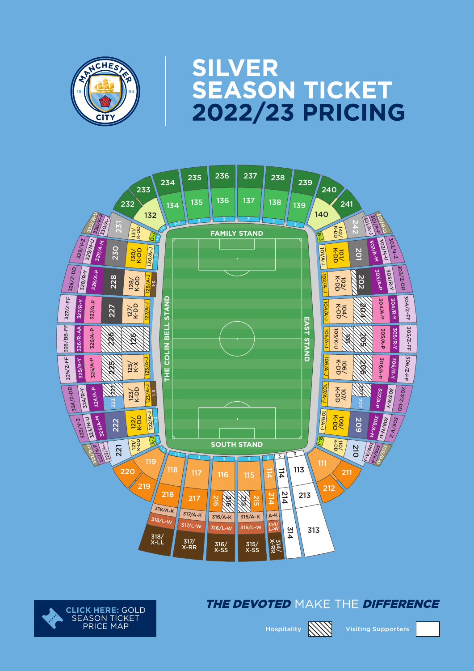

# **SILVER<br>SEASON TICKET<br>2022/23 PRICING**





#### The devoted make the difference



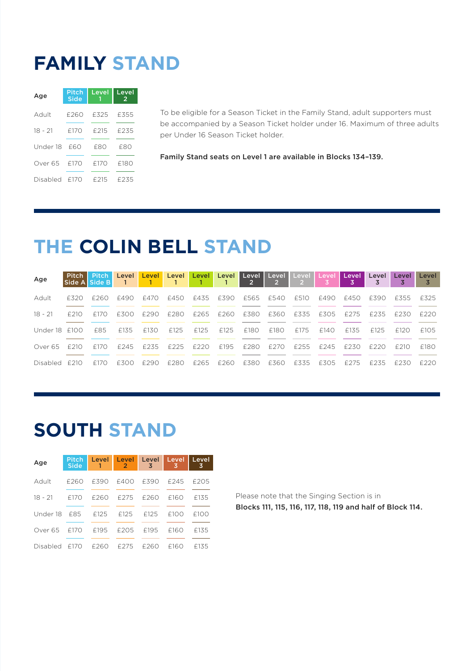#### **FAMILY STAND**

| Age          | Pitch<br>Side | Level | Level<br>$\overline{2}$ |  |  |
|--------------|---------------|-------|-------------------------|--|--|
| Adult        | £260          | £325  | £355                    |  |  |
| $18 - 21$    | £170          | £215  | £235                    |  |  |
| Under 18 F60 |               | F80   | £80                     |  |  |
| Over 65      | f170          | £170  | £180                    |  |  |
| Disabled     | - F170        | £215  | £235                    |  |  |

To be eligible for a Season Ticket in the Family Stand, adult supporters must be accompanied by a Season Ticket holder under 16. Maximum of three adults per Under 16 Season Ticket holder.

Family Stand seats on Level 1 are available in Blocks 134–139.

## **THE COLIN BELL STAND**

| Age           | Pitch  <br>Side A Side B |             | $\overline{1}$ |      |                  |                  |                  | Pitch Level Level Level Level Level Level Level Level<br>$\overline{\phantom{0}}$ 2 | $\sim$ 2 $\sim$ | Level Level<br>$\sim$ 2 $\sim$ |      | l Level I      | Level | Level | Level |
|---------------|--------------------------|-------------|----------------|------|------------------|------------------|------------------|-------------------------------------------------------------------------------------|-----------------|--------------------------------|------|----------------|-------|-------|-------|
| Adult         | F320                     | f260        | £490           | £470 | £450             |                  |                  | £435 £390 £565 £540                                                                 |                 | £510                           | £490 | £450           | F390  | f355  | F325  |
| $18 - 21$     | f210                     | F170        | £300           | £290 | £280             | £265 £260 £380   |                  |                                                                                     | £360 £335       |                                |      | f305 f275 f235 |       | F230  | F220  |
| Under 18 f100 |                          | F85         | £135           | £130 | F <sub>125</sub> | F <sub>125</sub> | F <sub>125</sub> | F180                                                                                | £180            | £175                           | f140 | £135           | £125  | f120  | £105  |
| Over 65       | F 210                    | F170        | F245           | F235 | F225             | F220             | F <sub>195</sub> | £280                                                                                | F270            | F255                           | F245 | F230           | F220  | F 210 | F180  |
| Disabled £210 |                          | <b>£170</b> | F300           | F290 | f280             | £265             | F260.            | <b>£380</b>                                                                         | F360            | £335                           | £305 | £275           | £235  | F230  | F220  |

# **SOUTH STAND**

| Age                         | <b>Pitch</b><br><b>Side</b> | Level Level Level Level Level<br>1. | <b>Q</b>       | $\overline{3}$   | 3           | 3    |
|-----------------------------|-----------------------------|-------------------------------------|----------------|------------------|-------------|------|
| Adult                       | F260                        |                                     | £390 £400 £390 |                  | £245        | f205 |
| $18 - 21$ $f170$            |                             |                                     | £260 £275 £260 |                  | <b>F160</b> | £135 |
| Under 18 F85 F125 F125 F125 |                             |                                     |                |                  | f100        | f100 |
| Over 65                     | f170                        |                                     | f195 f205      | F <sub>195</sub> | f160        | £135 |
| Disabled £170               |                             | f260                                | £275           | f260             | f160        | £135 |

Please note that the Singing Section is in Blocks 111, 115, 116, 117, 118, 119 and half of Block 114.